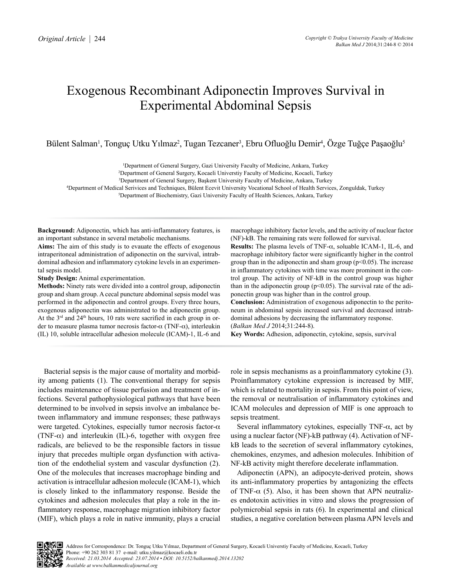# Exogenous Recombinant Adiponectin Improves Survival in Experimental Abdominal Sepsis

Bülent Salman<sup>ı</sup>, Tonguç Utku Yılmaz<sup>2</sup>, Tugan Tezcaner<sup>3</sup>, Ebru Ofluoğlu Demir<sup>4</sup>, Özge Tuğçe Paşaoğlu<sup>s</sup>

1 Department of General Surgery, Gazi University Faculty of Medicine, Ankara, Turkey

2 Department of General Surgery, Kocaeli Universtiy Faculty of Medicine, Kocaeli, Turkey

3 Department of General Surgery, Başkent University Faculty of Medicine, Ankara, Turkey

4 Department of Medical Serivices and Techniques, Bülent Ecevit University Vocational School of Health Services, Zonguldak, Turkey

5 Department of Biochemistry, Gazi University Faculty of Health Sciences, Ankara, Turkey

**Background:** Adiponectin, which has anti-inflammatory features, is an important substance in several metabolic mechanisms.

**Aims:** The aim of this study is to evauate the effects of exogenous intraperitoneal administration of adiponectin on the survival, intrabdominal adhesion and inflammatory cytokine levels in an experimental sepsis model.

**Study Design:** Animal experimentation.

**Methods:** Ninety rats were divided into a control group, adiponectin group and sham group. A cecal puncture abdominal sepsis model was performed in the adiponectin and control groups. Every three hours, exogenous adiponectin was administrated to the adiponectin group. At the  $3<sup>rd</sup>$  and  $24<sup>th</sup>$  hours, 10 rats were sacrified in each group in order to measure plasma tumor necrosis factor-α (TNF-α), interleukin (IL) 10, soluble intracellular adhesion molecule (ICAM)-1, IL-6 and macrophage inhibitory factor levels, and the activity of nuclear factor (NF)-kB. The remaining rats were followed for survival.

**Results:** The plasma levels of TNF-α, soluable ICAM-1, IL-6, and macrophage inhibitory factor were significantly higher in the control group than in the adiponectin and sham group ( $p<0.05$ ). The increase in inflammatory cytokines with time was more prominent in the control group. The activity of NF-kB in the control group was higher than in the adiponectin group ( $p$ <0.05). The survival rate of the adiponectin group was higher than in the control group.

**Conclusion:** Administration of exogenous adiponectin to the peritoneum in abdominal sepsis increased survival and decreased intrabdominal adhesions by decreasing the inflammatory response. (*Balkan Med J* 2014;31:244-8).

**Key Words:** Adhesion, adiponectin, cytokine, sepsis, survival

Bacterial sepsis is the major cause of mortality and morbidity among patients (1). The conventional therapy for sepsis includes maintenance of tissue perfusion and treatment of infections. Several pathophysiological pathways that have been determined to be involved in sepsis involve an imbalance between inflammatory and immune responses; these pathways were targeted. Cytokines, especially tumor necrosis factor-α (TNF- $\alpha$ ) and interleukin (IL)-6, together with oxygen free radicals, are believed to be the responsible factors in tissue injury that precedes multiple organ dysfunction with activation of the endothelial system and vascular dysfunction (2). One of the molecules that increases macrophage binding and activation is intracellular adhesion molecule (ICAM-1), which is closely linked to the inflammatory response. Beside the cytokines and adhesion molecules that play a role in the inflammatory response, macrophage migration inhibitory factor (MIF), which plays a role in native immunity, plays a crucial

role in sepsis mechanisms as a proinflammatory cytokine (3). Proinflammatory cytokine expression is increased by MIF, which is related to mortality in sepsis. From this point of view, the removal or neutralisation of inflammatory cytokines and ICAM molecules and depression of MIF is one approach to sepsis treatment.

Several inflammatory cytokines, especially TNF- $\alpha$ , act by using a nuclear factor (NF)-kB pathway (4). Activation of NFkB leads to the secretion of several inflammatory cytokines, chemokines, enzymes, and adhesion molecules. Inhibition of NF-kB activity might therefore decelerate inflammation.

Adiponectin (APN), an adipocyte-derived protein, shows its anti-inflammatory properties by antagonizing the effects of TNF- $\alpha$  (5). Also, it has been shown that APN neutralizes endotoxin activities in vitro and slows the progression of polymicrobial sepsis in rats (6). In experimental and clinical studies, a negative corelation between plasma APN levels and

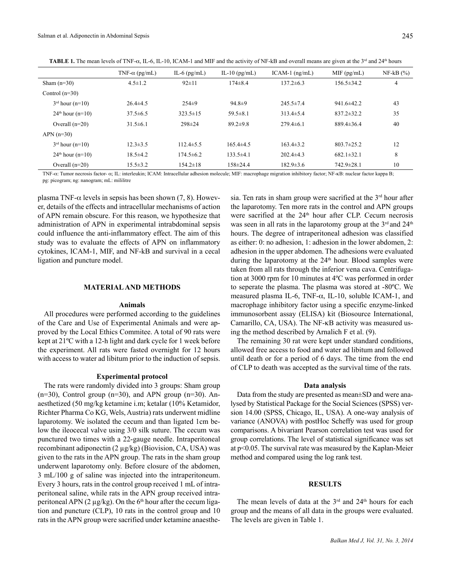**TABLE 1.** The mean levels of TNF-α, IL-6, IL-10, ICAM-1 and MIF and the activity of NF-kB and overall means are given at the 3<sup>rd</sup> and 24<sup>th</sup> hours

|                              | TNF- $\alpha$ (pg/mL) | IL-6 $(pg/mL)$  | IL-10 $(pg/mL)$ | $ICAM-1$ (ng/mL) | $MIF$ (pg/mL)    | $NF-kB$ $(\% )$ |
|------------------------------|-----------------------|-----------------|-----------------|------------------|------------------|-----------------|
| Sham $(n=30)$                | $4.5 \pm 1.2$         | $92 \pm 11$     | $174 \pm 8.4$   | $137.2 \pm 6.3$  | $156.5 \pm 34.2$ | 4               |
| Control $(n=30)$             |                       |                 |                 |                  |                  |                 |
| $3rd$ hour (n=10)            | $26.4\pm4.5$          | $254\pm9$       | $94.8 \pm 9$    | $245.5 \pm 7.4$  | $941.6 \pm 42.2$ | 43              |
| $24th$ hour (n=10)           | $37.5\pm 6.5$         | $323.5 \pm 15$  | $59.5 \pm 8.1$  | $313.4 \pm 5.4$  | $837.2 \pm 32.2$ | 35              |
| Overall $(n=20)$             | $31.5\pm 6.1$         | $298 \pm 24$    | $89.2 \pm 9.8$  | $279.4\pm 6.1$   | $889.4 \pm 36.4$ | 40              |
| $APN(n=30)$                  |                       |                 |                 |                  |                  |                 |
| $3rd$ hour (n=10)            | $12.3 \pm 3.5$        | $112.4 \pm 5.5$ | $165.4\pm4.5$   | $163.4 \pm 3.2$  | $803.7 \pm 25.2$ | 12              |
| $24^{\text{th}}$ hour (n=10) | $18.5 \pm 4.2$        | $174.5 \pm 6.2$ | $133.5\pm4.1$   | $202.4\pm4.3$    | $682.1 \pm 32.1$ | 8               |
| Overall $(n=20)$             | $15.5 \pm 3.2$        | $154.2 \pm 18$  | $158 \pm 24.4$  | $182.9 \pm 3.6$  | $742.9 \pm 28.1$ | 10              |

TNF-α: Tumor necrosis factor- α; IL: interleukin; ICAM: Intracellular adhesion molecule; MIF: macrophage migration inhibitory factor; NF-kB: nuclear factor kappa B; pg: picogram; ng: nanogram; mL: mililitre

plasma TNF- $\alpha$  levels in sepsis has been shown (7, 8). However, details of the effects and intracellular mechanisms of action of APN remain obscure. For this reason, we hypothesize that administration of APN in experimental intrabdominal sepsis could influence the anti-inflammatory effect. The aim of this study was to evaluate the effects of APN on inflammatory cytokines, ICAM-1, MIF, and NF-kB and survival in a cecal ligation and puncture model.

### **MATERIAL AND METHODS**

#### **Animals**

All procedures were performed according to the guidelines of the Care and Use of Experimental Animals and were approved by the Local Ethics Commitee. A total of 90 rats were kept at 21ºC with a 12-h light and dark cycle for 1 week before the experiment. All rats were fasted overnight for 12 hours with access to water ad libitum prior to the induction of sepsis.

#### **Experimental protocol**

The rats were randomly divided into 3 groups: Sham group  $(n=30)$ , Control group  $(n=30)$ , and APN group  $(n=30)$ . Anaesthetized (50 mg/kg ketamine i.m; ketalar (10% Ketamidor, Richter Pharma Co KG, Wels, Austria) rats underwent midline laparotomy. We isolated the cecum and than ligated 1cm below the ileocecal valve using 3/0 silk suture. The cecum was punctured two times with a 22-gauge needle. Intraperitoneal recombinant adiponectin (2 µg/kg) (Biovision, CA, USA) was given to the rats in the APN group. The rats in the sham group underwent laparotomy only. Before closure of the abdomen, 3 mL/100 g of saline was injected into the intraperitoneum. Every 3 hours, rats in the control group received 1 mL of intraperitoneal saline, while rats in the APN group received intraperitoneal APN (2  $\mu$ g/kg). On the 6<sup>th</sup> hour after the cecum ligation and puncture (CLP), 10 rats in the control group and 10 rats in the APN group were sacrified under ketamine anaesthe-

sia. Ten rats in sham group were sacrified at the  $3<sup>rd</sup>$  hour after the laparotomy. Ten more rats in the control and APN groups were sacrified at the 24<sup>th</sup> hour after CLP. Cecum necrosis was seen in all rats in the laparotomy group at the  $3<sup>rd</sup>$  and  $24<sup>th</sup>$ hours. The degree of intraperitoneal adhesion was classified as either: 0: no adhesion, 1: adhesion in the lower abdomen, 2: adhesion in the upper abdomen. The adhesions were evaluated during the laparotomy at the  $24<sup>th</sup>$  hour. Blood samples were taken from all rats through the inferior vena cava. Centrifugation at 3000 rpm for 10 minutes at 4ºC was performed in order to seperate the plasma. The plasma was stored at -80ºC. We measured plasma IL-6, TNF- $\alpha$ , IL-10, soluble ICAM-1, and macrophage inhibitory factor using a specific enzyme-linked immunosorbent assay (ELISA) kit (Biosource International, Camarillo, CA, USA). The NF-κB activity was measured using the method described by Arnalich F et al. (9).

The remaining 30 rat were kept under standard conditions, allowed free access to food and water ad libitum and followed until death or for a period of 6 days. The time from the end of CLP to death was accepted as the survival time of the rats.

## **Data analysis**

Data from the study are presented as mean±SD and were analysed by Statistical Package for the Social Sciences (SPSS) version 14.00 (SPSS, Chicago, IL, USA). A one-way analysis of variance (ANOVA) with postHoc Scheffy was used for group comparisons. A bivariant Pearson correlation test was used for group correlations. The level of statistical significance was set at p<0.05. The survival rate was measured by the Kaplan-Meier method and compared using the log rank test.

# **RESULTS**

The mean levels of data at the  $3<sup>rd</sup>$  and  $24<sup>th</sup>$  hours for each group and the means of all data in the groups were evaluated. The levels are given in Table 1.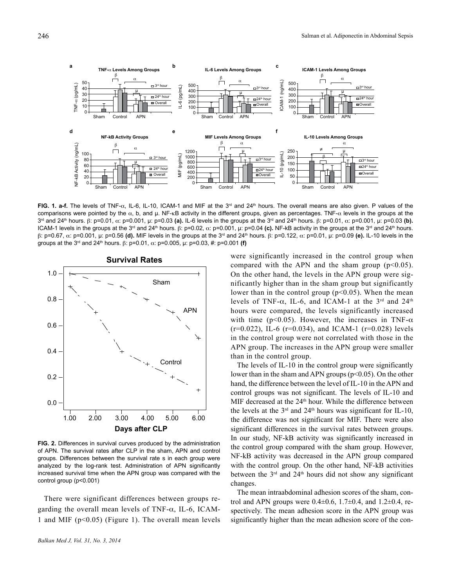

**FIG. 1. a-f.** The levels of TNF-α, IL-6, IL-10, ICAM-1 and MIF at the 3rd and 24th hours. The overall means are also given. P values of the comparisons were pointed by the  $α$ , b, and  $μ$ . NF- $κ$ B activity in the different groups, given as percentages. TNF- $α$  levels in the groups at the 3<sup>rd</sup> and 24<sup>th</sup> hours. β: p=0.01, α: p=0.001, μ: p=0.03 **(a).** IL-6 levels in the groups at the 3<sup>rd</sup> and 24<sup>th</sup> hours. β: p=0.01, α: p=0.001, μ: p=0.03 **(b).** ICAM-1 levels in the groups at the 3<sup>rd</sup> and 24<sup>th</sup> hours. β: p=0.02, α: p=0.001, μ: p=0.04 (c). NF-kB activity in the groups at the 3<sup>rd</sup> and 24<sup>th</sup> hours. β: p=0.67, α: p=0.001, µ: p=0.56 **(d).** MIF levels in the groups at the 3rd and 24th hours. β: p=0.122, α: p=0.01, µ: p=0.09 **(e).** IL-10 levels in the groups at the 3<sup>rd</sup> and 24<sup>th</sup> hours. β: p=0.01,  $\alpha$ : p=0.005, μ: p=0.03, #: p=0.001 (f)



**FIG. 2.** Differences in survival curves produced by the administration of APN. The survival rates after CLP in the sham, APN and control groups. Differences between the survival rate s in each group were analyzed by the log-rank test. Administration of APN significantly increased survival time when the APN group was compared with the control group (p<0.001)

There were significant differences between groups regarding the overall mean levels of TNF- $\alpha$ , IL-6, ICAM-1 and MIF ( $p<0.05$ ) (Figure 1). The overall mean levels

were significantly increased in the control group when compared with the APN and the sham group  $(p<0.05)$ . On the other hand, the levels in the APN group were significantly higher than in the sham group but significantly lower than in the control group  $(p<0.05)$ . When the mean levels of TNF- $\alpha$ , IL-6, and ICAM-1 at the 3<sup>rd</sup> and 24<sup>th</sup> hours were compared, the levels significantly increased with time ( $p<0.05$ ). However, the increases in TNF- $\alpha$  $(r=0.022)$ , IL-6  $(r=0.034)$ , and ICAM-1  $(r=0.028)$  levels in the control group were not correlated with those in the APN group. The increases in the APN group were smaller than in the control group.

The levels of IL-10 in the control group were significantly lower than in the sham and APN groups ( $p<0.05$ ). On the other hand, the difference between the level of IL-10 in the APN and control groups was not significant. The levels of IL-10 and MIF decreased at the 24<sup>th</sup> hour. While the difference between the levels at the  $3<sup>rd</sup>$  and  $24<sup>th</sup>$  hours was significant for IL-10, the difference was not significant for MIF. There were also significant differences in the survival rates between groups. In our study, NF-kB activity was significantly increased in the control group compared with the sham group. However, NF-kB activity was decreased in the APN group compared with the control group. On the other hand, NF-kB activities between the  $3<sup>rd</sup>$  and  $24<sup>th</sup>$  hours did not show any significant changes.

The mean intraabdominal adhesion scores of the sham, control and APN groups were  $0.4 \pm 0.6$ ,  $1.7 \pm 0.4$ , and  $1.2 \pm 0.4$ , respectively. The mean adhesion score in the APN group was significantly higher than the mean adhesion score of the con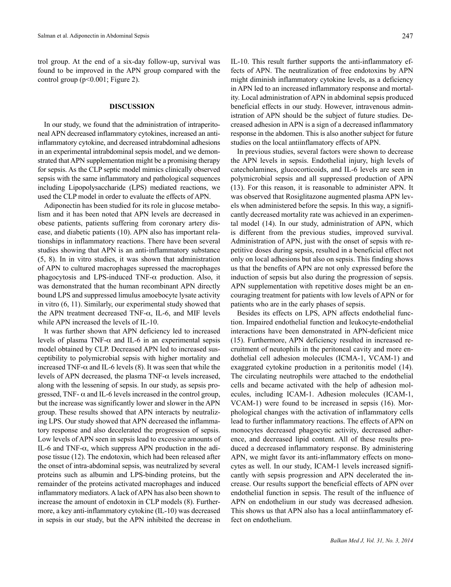trol group. At the end of a six-day follow-up, survival was found to be improved in the APN group compared with the control group (p<0.001; Figure 2).

# **DISCUSSION**

In our study, we found that the administration of intraperitoneal APN decreased inflammatory cytokines, increased an antiinflammatory cytokine, and decreased intrabdominal adhesions in an experimental intrabdominal sepsis model, and we demonstrated that APN supplementation might be a promising therapy for sepsis. As the CLP septic model mimics clinically observed sepsis with the same inflammatory and pathological sequences including Lipopolysaccharide (LPS) mediated reactions, we used the CLP model in order to evaluate the effects of APN.

Adiponectin has been studied for its role in glucose metabolism and it has been noted that APN levels are decreased in obese patients, patients suffering from coronary artery disease, and diabetic patients (10). APN also has important relationships in inflammatory reactions. There have been several studies showing that APN is an anti-inflammatory substance (5, 8). In in vitro studies, it was shown that administration of APN to cultured macrophages supressed the macrophages phagocytosis and LPS-induced TNF- $\alpha$  production. Also, it was demonstrated that the human recombinant APN directly bound LPS and suppressed limulus amoebocyte lysate activity in vitro (6, 11). Similarly, our experimental study showed that the APN treatment decreased TNF- $\alpha$ , IL-6, and MIF levels while APN increased the levels of IL-10.

It was further shown that APN deficiency led to increased levels of plasma TNF- $\alpha$  and IL-6 in an experimental sepsis model obtained by CLP. Decreased APN led to increased susceptibility to polymicrobial sepsis with higher mortality and increased TNF- $\alpha$  and IL-6 levels (8). It was seen that while the levels of APN decreased, the plasma TNF-α levels increased, along with the lessening of sepsis. In our study, as sepsis progressed, TNF- $\alpha$  and IL-6 levels increased in the control group, but the increase was significantly lower and slower in the APN group. These results showed that APN interacts by neutralizing LPS. Our study showed that APN decreased the inflammatory response and also decelerated the progression of sepsis. Low levels of APN seen in sepsis lead to excessive amounts of IL-6 and TNF- $\alpha$ , which suppress APN production in the adipose tissue (12). The endotoxin, which had been released after the onset of intra-abdominal sepsis, was neutralized by several proteins such as albumin and LPS-binding proteins, but the remainder of the proteins activated macrophages and induced inflammatory mediators.Alack ofAPN has also been shown to increase the amount of endotoxin in CLP models (8). Furthermore, a key anti-inflammatory cytokine (IL-10) was decreased in sepsis in our study, but the APN inhibited the decrease in

IL-10. This result further supports the anti-inflammatory effects of APN. The neutralization of free endotoxins by APN might diminish inflammatory cytokine levels, as a deficiency in APN led to an increased inflammatory response and mortality. Local administration of APN in abdominal sepsis produced beneficial effects in our study. However, intravenous administration of APN should be the subject of future studies. Decreased adhesion in APN is a sign of a decreased inflammatory response in the abdomen. This is also another subject for future studies on the local antiinflamatory effects of APN.

In previous studies, several factors were shown to decrease the APN levels in sepsis. Endothelial injury, high levels of catecholamines, glucocorticoids, and IL-6 levels are seen in polymicrobial sepsis and all suppressed production of APN (13). For this reason, it is reasonable to administer APN. It was observed that Rosiglitazone augmented plasma APN levels when administered before the sepsis. In this way, a significantly decreased mortality rate was achieved in an experimental model (14). In our study, administration of APN, which is different from the previous studies, improved survival. Administration of APN, just with the onset of sepsis with repetitive doses during sepsis, resulted in a beneficial effect not only on local adhesions but also on sepsis. This finding shows us that the benefits of APN are not only expressed before the induction of sepsis but also during the progression of sepsis. APN supplementation with repetitive doses might be an encouraging treatment for patients with low levels of APN or for patients who are in the early phases of sepsis.

Besides its effects on LPS, APN affects endothelial function. Impaired endothelial function and leukocyte-endothelial interactions have been demonstrated in APN-deficient mice (15). Furthermore, APN deficiency resulted in increased recruitment of neutophils in the peritoneal cavity and more endothelial cell adhesion molecules (ICMA-1, VCAM-1) and exaggrated cytokine production in a peritonitis model (14). The circulating neutrophils were attached to the endothelial cells and became activated with the help of adhesion molecules, including ICAM-1. Adhesion molecules (ICAM-1, VCAM-1) were found to be increased in sepsis (16). Morphological changes with the activation of inflammatory cells lead to further inflammatory reactions. The effects of APN on monocytes decreased phagocytic activity, decreased adherence, and decreased lipid content. All of these results produced a decreased inflammatory response. By administering APN, we might favor its anti-inflammatory effects on monocytes as well. In our study, ICAM-1 levels increased significantly with sepsis progression and APN decelerated the increase. Our results support the beneficial effects of APN over endothelial function in sepsis. The result of the influence of APN on endothelium in our study was decreased adhesion. This shows us that APN also has a local antiinflammatory effect on endothelium.